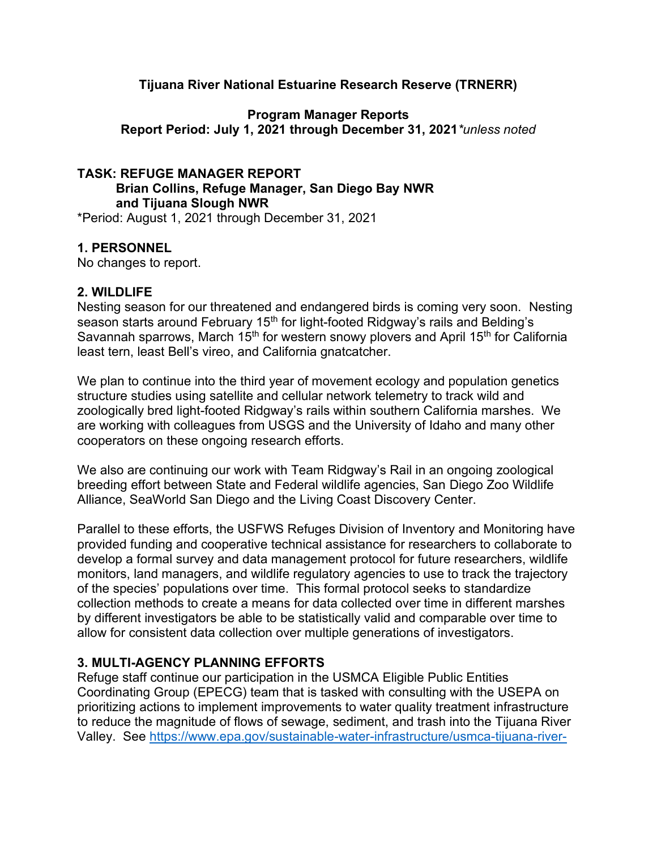# **Tijuana River National Estuarine Research Reserve (TRNERR)**

### **Program Manager Reports Report Period: July 1, 2021 through December 31, 2021***\*unless noted*

# **TASK: REFUGE MANAGER REPORT Brian Collins, Refuge Manager, San Diego Bay NWR and Tijuana Slough NWR**

\*Period: August 1, 2021 through December 31, 2021

# **1. PERSONNEL**

No changes to report.

## **2. WILDLIFE**

Nesting season for our threatened and endangered birds is coming very soon. Nesting season starts around February 15<sup>th</sup> for light-footed Ridgway's rails and Belding's Savannah sparrows, March 15<sup>th</sup> for western snowy plovers and April 15<sup>th</sup> for California least tern, least Bell's vireo, and California gnatcatcher.

We plan to continue into the third year of movement ecology and population genetics structure studies using satellite and cellular network telemetry to track wild and zoologically bred light-footed Ridgway's rails within southern California marshes. We are working with colleagues from USGS and the University of Idaho and many other cooperators on these ongoing research efforts.

We also are continuing our work with Team Ridgway's Rail in an ongoing zoological breeding effort between State and Federal wildlife agencies, San Diego Zoo Wildlife Alliance, SeaWorld San Diego and the Living Coast Discovery Center.

Parallel to these efforts, the USFWS Refuges Division of Inventory and Monitoring have provided funding and cooperative technical assistance for researchers to collaborate to develop a formal survey and data management protocol for future researchers, wildlife monitors, land managers, and wildlife regulatory agencies to use to track the trajectory of the species' populations over time. This formal protocol seeks to standardize collection methods to create a means for data collected over time in different marshes by different investigators be able to be statistically valid and comparable over time to allow for consistent data collection over multiple generations of investigators.

## **3. MULTI-AGENCY PLANNING EFFORTS**

Refuge staff continue our participation in the USMCA Eligible Public Entities Coordinating Group (EPECG) team that is tasked with consulting with the USEPA on prioritizing actions to implement improvements to water quality treatment infrastructure to reduce the magnitude of flows of sewage, sediment, and trash into the Tijuana River Valley. See [https://www.epa.gov/sustainable-water-infrastructure/usmca-tijuana-river-](https://www.epa.gov/sustainable-water-infrastructure/usmca-tijuana-river-watershed)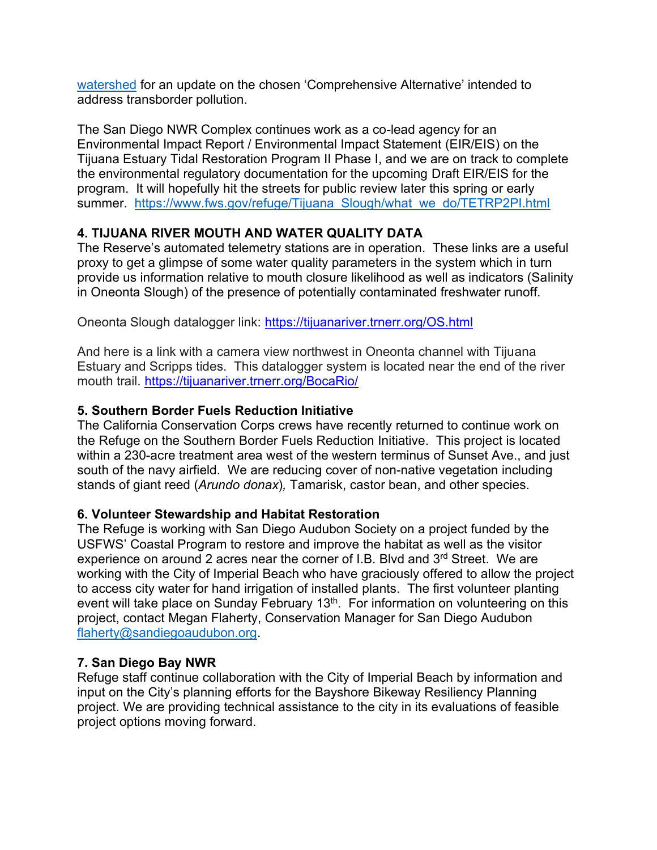[watershed](https://www.epa.gov/sustainable-water-infrastructure/usmca-tijuana-river-watershed) for an update on the chosen 'Comprehensive Alternative' intended to address transborder pollution.

The San Diego NWR Complex continues work as a co-lead agency for an Environmental Impact Report / Environmental Impact Statement (EIR/EIS) on the Tijuana Estuary Tidal Restoration Program II Phase I, and we are on track to complete the environmental regulatory documentation for the upcoming Draft EIR/EIS for the program. It will hopefully hit the streets for public review later this spring or early summer. https://www.fws.gov/refuge/Tijuana Slough/what we do/TETRP2PI.html

# **4. TIJUANA RIVER MOUTH AND WATER QUALITY DATA**

The Reserve's automated telemetry stations are in operation. These links are a useful proxy to get a glimpse of some water quality parameters in the system which in turn provide us information relative to mouth closure likelihood as well as indicators (Salinity in Oneonta Slough) of the presence of potentially contaminated freshwater runoff.

Oneonta Slough datalogger link: [https://tijuanariver.trnerr.org/OS.html](https://gcc02.safelinks.protection.outlook.com/?url=https%3A%2F%2Ftijuanariver.trnerr.org%2FOS.html&data=04%7C01%7Cbrian_collins%40fws.gov%7C3bad3123a8bc47563f5d08d9367bd2e6%7C0693b5ba4b184d7b9341f32f400a5494%7C0%7C0%7C637600727713306261%7CUnknown%7CTWFpbGZsb3d8eyJWIjoiMC4wLjAwMDAiLCJQIjoiV2luMzIiLCJBTiI6Ik1haWwiLCJXVCI6Mn0%3D%7C1000&sdata=jLolVjZz4umbzLbf64Gf4ZrBjIW4kdBxDc%2FdrWtSoMw%3D&reserved=0)

And here is a link with a camera view northwest in Oneonta channel with Tijuana Estuary and Scripps tides. This datalogger system is located near the end of the river mouth trail. [https://tijuanariver.trnerr.org/BocaRio/](https://gcc02.safelinks.protection.outlook.com/?url=https%3A%2F%2Ftijuanariver.trnerr.org%2FBocaRio%2F&data=04%7C01%7Cbrian_collins%40fws.gov%7C3bad3123a8bc47563f5d08d9367bd2e6%7C0693b5ba4b184d7b9341f32f400a5494%7C0%7C0%7C637600727713306261%7CUnknown%7CTWFpbGZsb3d8eyJWIjoiMC4wLjAwMDAiLCJQIjoiV2luMzIiLCJBTiI6Ik1haWwiLCJXVCI6Mn0%3D%7C1000&sdata=gLbbupCW8%2BoOn5uJq6pjP%2BEKtrblg44kNyn8r7tcEvA%3D&reserved=0)

## **5. Southern Border Fuels Reduction Initiative**

The California Conservation Corps crews have recently returned to continue work on the Refuge on the Southern Border Fuels Reduction Initiative. This project is located within a 230-acre treatment area west of the western terminus of Sunset Ave., and just south of the navy airfield. We are reducing cover of non-native vegetation including stands of giant reed (*Arundo donax*)*,* Tamarisk, castor bean, and other species.

## **6. Volunteer Stewardship and Habitat Restoration**

The Refuge is working with San Diego Audubon Society on a project funded by the USFWS' Coastal Program to restore and improve the habitat as well as the visitor experience on around 2 acres near the corner of I.B. Blvd and 3<sup>rd</sup> Street. We are working with the City of Imperial Beach who have graciously offered to allow the project to access city water for hand irrigation of installed plants. The first volunteer planting event will take place on Sunday February 13<sup>th</sup>. For information on volunteering on this project, contact Megan Flaherty, Conservation Manager for San Diego Audubon [flaherty@sandiegoaudubon.org.](mailto:flaherty@sandiegoaudubon.org)

## **7. San Diego Bay NWR**

Refuge staff continue collaboration with the City of Imperial Beach by information and input on the City's planning efforts for the Bayshore Bikeway Resiliency Planning project. We are providing technical assistance to the city in its evaluations of feasible project options moving forward.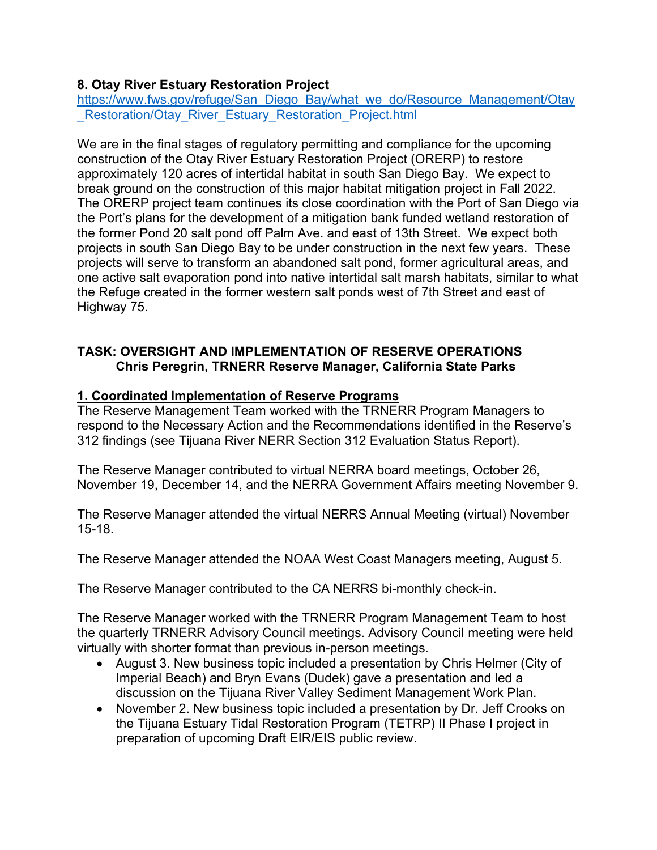# **8. Otay River Estuary Restoration Project**

[https://www.fws.gov/refuge/San\\_Diego\\_Bay/what\\_we\\_do/Resource\\_Management/Otay](https://www.fws.gov/refuge/San_Diego_Bay/what_we_do/Resource_Management/Otay_Restoration/Otay_River_Estuary_Restoration_Project.html) Restoration/Otay\_River\_Estuary\_Restoration\_Project.html

We are in the final stages of regulatory permitting and compliance for the upcoming construction of the Otay River Estuary Restoration Project (ORERP) to restore approximately 120 acres of intertidal habitat in south San Diego Bay. We expect to break ground on the construction of this major habitat mitigation project in Fall 2022. The ORERP project team continues its close coordination with the Port of San Diego via the Port's plans for the development of a mitigation bank funded wetland restoration of the former Pond 20 salt pond off Palm Ave. and east of 13th Street. We expect both projects in south San Diego Bay to be under construction in the next few years. These projects will serve to transform an abandoned salt pond, former agricultural areas, and one active salt evaporation pond into native intertidal salt marsh habitats, similar to what the Refuge created in the former western salt ponds west of 7th Street and east of Highway 75.

# **TASK: OVERSIGHT AND IMPLEMENTATION OF RESERVE OPERATIONS Chris Peregrin, TRNERR Reserve Manager, California State Parks**

# **1. Coordinated Implementation of Reserve Programs**

The Reserve Management Team worked with the TRNERR Program Managers to respond to the Necessary Action and the Recommendations identified in the Reserve's 312 findings (see Tijuana River NERR Section 312 Evaluation Status Report).

The Reserve Manager contributed to virtual NERRA board meetings, October 26, November 19, December 14, and the NERRA Government Affairs meeting November 9.

The Reserve Manager attended the virtual NERRS Annual Meeting (virtual) November 15-18.

The Reserve Manager attended the NOAA West Coast Managers meeting, August 5.

The Reserve Manager contributed to the CA NERRS bi-monthly check-in.

The Reserve Manager worked with the TRNERR Program Management Team to host the quarterly TRNERR Advisory Council meetings. Advisory Council meeting were held virtually with shorter format than previous in-person meetings.

- August 3. New business topic included a presentation by Chris Helmer (City of Imperial Beach) and Bryn Evans (Dudek) gave a presentation and led a discussion on the Tijuana River Valley Sediment Management Work Plan.
- November 2. New business topic included a presentation by Dr. Jeff Crooks on the Tijuana Estuary Tidal Restoration Program (TETRP) II Phase I project in preparation of upcoming Draft EIR/EIS public review.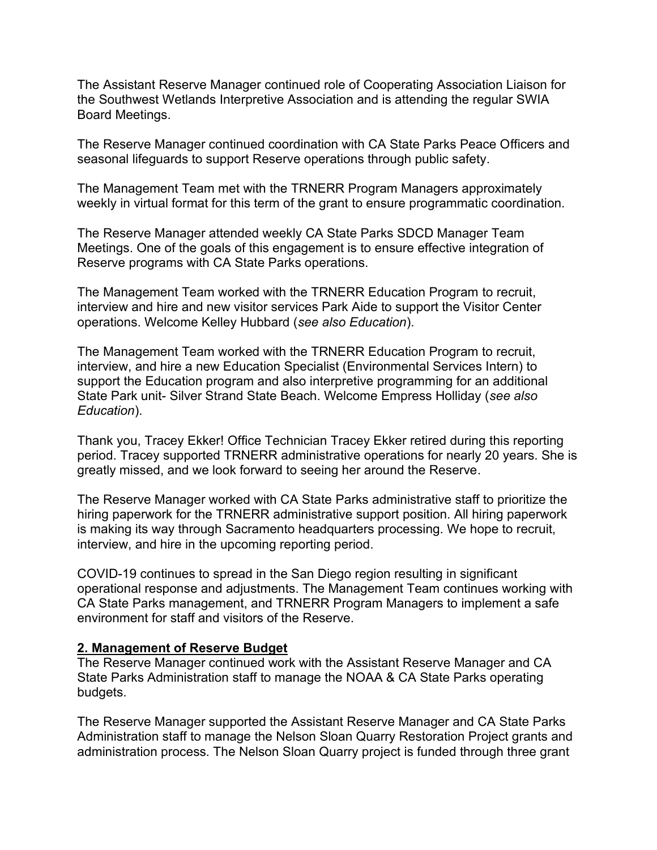The Assistant Reserve Manager continued role of Cooperating Association Liaison for the Southwest Wetlands Interpretive Association and is attending the regular SWIA Board Meetings.

The Reserve Manager continued coordination with CA State Parks Peace Officers and seasonal lifeguards to support Reserve operations through public safety.

The Management Team met with the TRNERR Program Managers approximately weekly in virtual format for this term of the grant to ensure programmatic coordination.

The Reserve Manager attended weekly CA State Parks SDCD Manager Team Meetings. One of the goals of this engagement is to ensure effective integration of Reserve programs with CA State Parks operations.

The Management Team worked with the TRNERR Education Program to recruit, interview and hire and new visitor services Park Aide to support the Visitor Center operations. Welcome Kelley Hubbard (*see also Education*).

The Management Team worked with the TRNERR Education Program to recruit, interview, and hire a new Education Specialist (Environmental Services Intern) to support the Education program and also interpretive programming for an additional State Park unit- Silver Strand State Beach. Welcome Empress Holliday (*see also Education*).

Thank you, Tracey Ekker! Office Technician Tracey Ekker retired during this reporting period. Tracey supported TRNERR administrative operations for nearly 20 years. She is greatly missed, and we look forward to seeing her around the Reserve.

The Reserve Manager worked with CA State Parks administrative staff to prioritize the hiring paperwork for the TRNERR administrative support position. All hiring paperwork is making its way through Sacramento headquarters processing. We hope to recruit, interview, and hire in the upcoming reporting period.

COVID-19 continues to spread in the San Diego region resulting in significant operational response and adjustments. The Management Team continues working with CA State Parks management, and TRNERR Program Managers to implement a safe environment for staff and visitors of the Reserve.

## **2. Management of Reserve Budget**

The Reserve Manager continued work with the Assistant Reserve Manager and CA State Parks Administration staff to manage the NOAA & CA State Parks operating budgets.

The Reserve Manager supported the Assistant Reserve Manager and CA State Parks Administration staff to manage the Nelson Sloan Quarry Restoration Project grants and administration process. The Nelson Sloan Quarry project is funded through three grant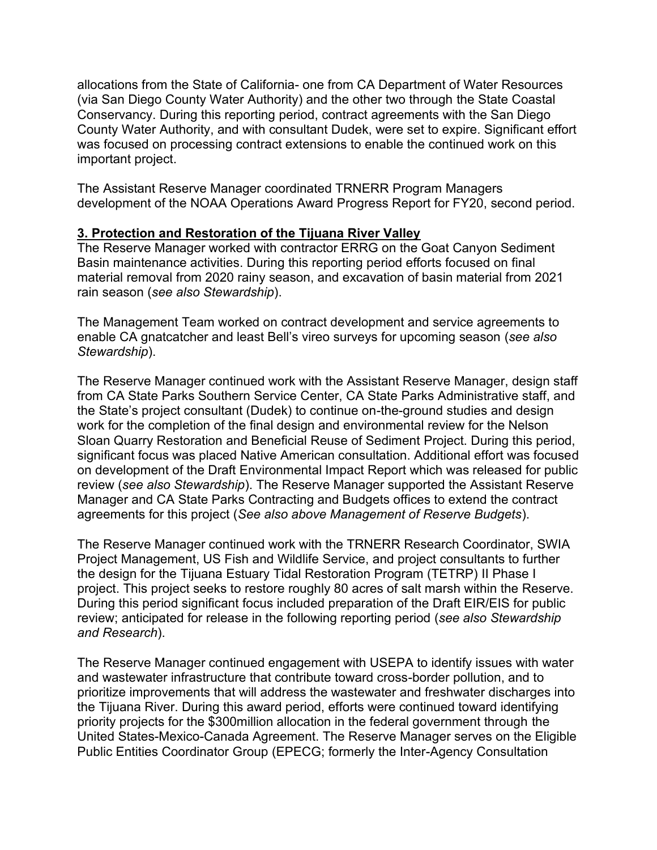allocations from the State of California- one from CA Department of Water Resources (via San Diego County Water Authority) and the other two through the State Coastal Conservancy. During this reporting period, contract agreements with the San Diego County Water Authority, and with consultant Dudek, were set to expire. Significant effort was focused on processing contract extensions to enable the continued work on this important project.

The Assistant Reserve Manager coordinated TRNERR Program Managers development of the NOAA Operations Award Progress Report for FY20, second period.

# **3. Protection and Restoration of the Tijuana River Valley**

The Reserve Manager worked with contractor ERRG on the Goat Canyon Sediment Basin maintenance activities. During this reporting period efforts focused on final material removal from 2020 rainy season, and excavation of basin material from 2021 rain season (*see also Stewardship*).

The Management Team worked on contract development and service agreements to enable CA gnatcatcher and least Bell's vireo surveys for upcoming season (*see also Stewardship*).

The Reserve Manager continued work with the Assistant Reserve Manager, design staff from CA State Parks Southern Service Center, CA State Parks Administrative staff, and the State's project consultant (Dudek) to continue on-the-ground studies and design work for the completion of the final design and environmental review for the Nelson Sloan Quarry Restoration and Beneficial Reuse of Sediment Project. During this period, significant focus was placed Native American consultation. Additional effort was focused on development of the Draft Environmental Impact Report which was released for public review (*see also Stewardship*). The Reserve Manager supported the Assistant Reserve Manager and CA State Parks Contracting and Budgets offices to extend the contract agreements for this project (*See also above Management of Reserve Budgets*).

The Reserve Manager continued work with the TRNERR Research Coordinator, SWIA Project Management, US Fish and Wildlife Service, and project consultants to further the design for the Tijuana Estuary Tidal Restoration Program (TETRP) II Phase I project. This project seeks to restore roughly 80 acres of salt marsh within the Reserve. During this period significant focus included preparation of the Draft EIR/EIS for public review; anticipated for release in the following reporting period (*see also Stewardship and Research*).

The Reserve Manager continued engagement with USEPA to identify issues with water and wastewater infrastructure that contribute toward cross-border pollution, and to prioritize improvements that will address the wastewater and freshwater discharges into the Tijuana River. During this award period, efforts were continued toward identifying priority projects for the \$300million allocation in the federal government through the United States-Mexico-Canada Agreement. The Reserve Manager serves on the Eligible Public Entities Coordinator Group (EPECG; formerly the Inter-Agency Consultation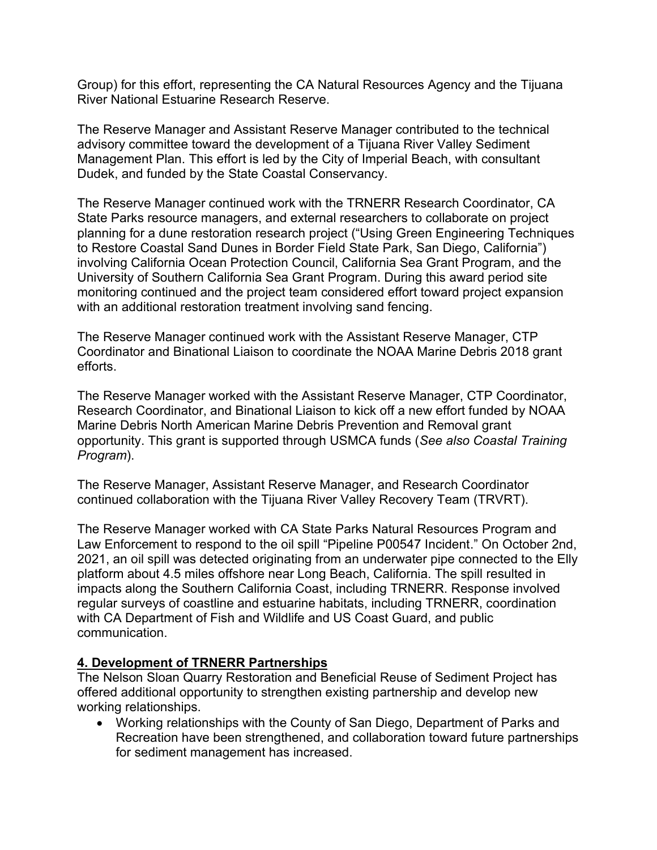Group) for this effort, representing the CA Natural Resources Agency and the Tijuana River National Estuarine Research Reserve.

The Reserve Manager and Assistant Reserve Manager contributed to the technical advisory committee toward the development of a Tijuana River Valley Sediment Management Plan. This effort is led by the City of Imperial Beach, with consultant Dudek, and funded by the State Coastal Conservancy.

The Reserve Manager continued work with the TRNERR Research Coordinator, CA State Parks resource managers, and external researchers to collaborate on project planning for a dune restoration research project ("Using Green Engineering Techniques to Restore Coastal Sand Dunes in Border Field State Park, San Diego, California") involving California Ocean Protection Council, California Sea Grant Program, and the University of Southern California Sea Grant Program. During this award period site monitoring continued and the project team considered effort toward project expansion with an additional restoration treatment involving sand fencing.

The Reserve Manager continued work with the Assistant Reserve Manager, CTP Coordinator and Binational Liaison to coordinate the NOAA Marine Debris 2018 grant efforts.

The Reserve Manager worked with the Assistant Reserve Manager, CTP Coordinator, Research Coordinator, and Binational Liaison to kick off a new effort funded by NOAA Marine Debris North American Marine Debris Prevention and Removal grant opportunity. This grant is supported through USMCA funds (*See also Coastal Training Program*).

The Reserve Manager, Assistant Reserve Manager, and Research Coordinator continued collaboration with the Tijuana River Valley Recovery Team (TRVRT).

The Reserve Manager worked with CA State Parks Natural Resources Program and Law Enforcement to respond to the oil spill "Pipeline P00547 Incident." On October 2nd, 2021, an oil spill was detected originating from an underwater pipe connected to the Elly platform about 4.5 miles offshore near Long Beach, California. The spill resulted in impacts along the Southern California Coast, including TRNERR. Response involved regular surveys of coastline and estuarine habitats, including TRNERR, coordination with CA Department of Fish and Wildlife and US Coast Guard, and public communication.

## **4. Development of TRNERR Partnerships**

The Nelson Sloan Quarry Restoration and Beneficial Reuse of Sediment Project has offered additional opportunity to strengthen existing partnership and develop new working relationships.

• Working relationships with the County of San Diego, Department of Parks and Recreation have been strengthened, and collaboration toward future partnerships for sediment management has increased.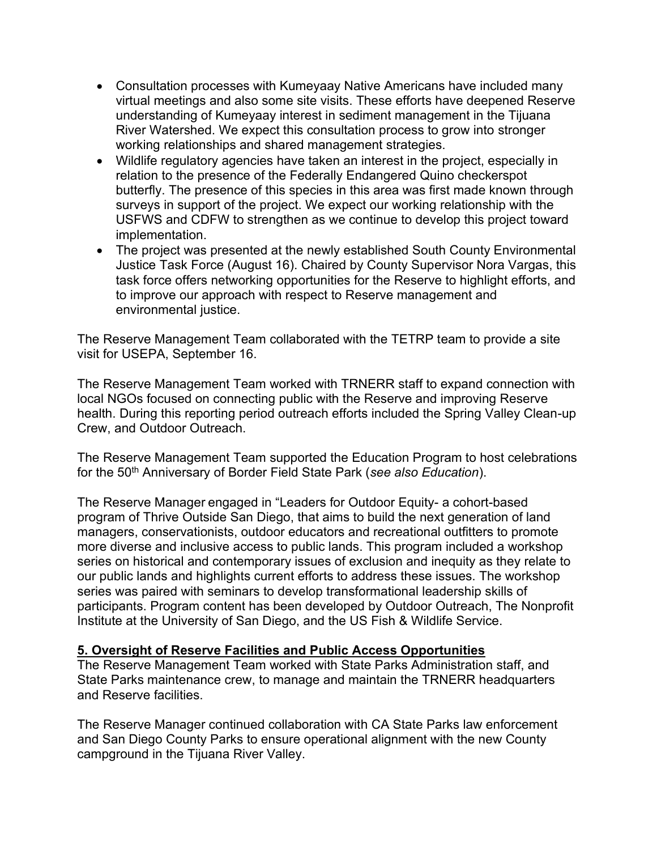- Consultation processes with Kumeyaay Native Americans have included many virtual meetings and also some site visits. These efforts have deepened Reserve understanding of Kumeyaay interest in sediment management in the Tijuana River Watershed. We expect this consultation process to grow into stronger working relationships and shared management strategies.
- Wildlife regulatory agencies have taken an interest in the project, especially in relation to the presence of the Federally Endangered Quino checkerspot butterfly. The presence of this species in this area was first made known through surveys in support of the project. We expect our working relationship with the USFWS and CDFW to strengthen as we continue to develop this project toward implementation.
- The project was presented at the newly established South County Environmental Justice Task Force (August 16). Chaired by County Supervisor Nora Vargas, this task force offers networking opportunities for the Reserve to highlight efforts, and to improve our approach with respect to Reserve management and environmental justice.

The Reserve Management Team collaborated with the TETRP team to provide a site visit for USEPA, September 16.

The Reserve Management Team worked with TRNERR staff to expand connection with local NGOs focused on connecting public with the Reserve and improving Reserve health. During this reporting period outreach efforts included the Spring Valley Clean-up Crew, and Outdoor Outreach.

The Reserve Management Team supported the Education Program to host celebrations for the 50th Anniversary of Border Field State Park (*see also Education*).

The Reserve Manager engaged in "Leaders for Outdoor Equity- a cohort-based program of Thrive Outside San Diego, that aims to build the next generation of land managers, conservationists, outdoor educators and recreational outfitters to promote more diverse and inclusive access to public lands. This program included a workshop series on historical and contemporary issues of exclusion and inequity as they relate to our public lands and highlights current efforts to address these issues. The workshop series was paired with seminars to develop transformational leadership skills of participants. Program content has been developed by Outdoor Outreach, The Nonprofit Institute at the University of San Diego, and the US Fish & Wildlife Service.

# **5. Oversight of Reserve Facilities and Public Access Opportunities**

The Reserve Management Team worked with State Parks Administration staff, and State Parks maintenance crew, to manage and maintain the TRNERR headquarters and Reserve facilities.

The Reserve Manager continued collaboration with CA State Parks law enforcement and San Diego County Parks to ensure operational alignment with the new County campground in the Tijuana River Valley.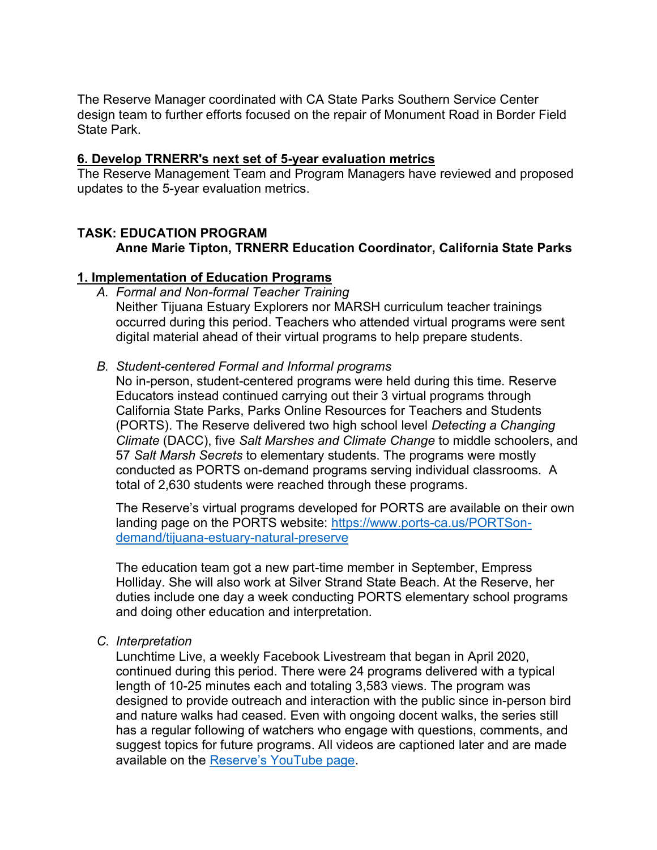The Reserve Manager coordinated with CA State Parks Southern Service Center design team to further efforts focused on the repair of Monument Road in Border Field State Park.

## **6. Develop TRNERR's next set of 5-year evaluation metrics**

The Reserve Management Team and Program Managers have reviewed and proposed updates to the 5-year evaluation metrics.

# **TASK: EDUCATION PROGRAM Anne Marie Tipton, TRNERR Education Coordinator, California State Parks**

## **1. Implementation of Education Programs**

- *A. Formal and Non-formal Teacher Training* Neither Tijuana Estuary Explorers nor MARSH curriculum teacher trainings occurred during this period. Teachers who attended virtual programs were sent digital material ahead of their virtual programs to help prepare students.
- *B. Student-centered Formal and Informal programs*

No in-person, student-centered programs were held during this time. Reserve Educators instead continued carrying out their 3 virtual programs through California State Parks, Parks Online Resources for Teachers and Students (PORTS). The Reserve delivered two high school level *Detecting a Changing Climate* (DACC), five *Salt Marshes and Climate Change* to middle schoolers, and 57 *Salt Marsh Secrets* to elementary students. The programs were mostly conducted as PORTS on-demand programs serving individual classrooms. A total of 2,630 students were reached through these programs.

The Reserve's virtual programs developed for PORTS are available on their own landing page on the PORTS website: [https://www.ports-ca.us/PORTSon](https://www.ports-ca.us/PORTSon-demand/tijuana-estuary-natural-preserve)[demand/tijuana-estuary-natural-preserve](https://www.ports-ca.us/PORTSon-demand/tijuana-estuary-natural-preserve)

The education team got a new part-time member in September, Empress Holliday. She will also work at Silver Strand State Beach. At the Reserve, her duties include one day a week conducting PORTS elementary school programs and doing other education and interpretation.

*C. Interpretation*

Lunchtime Live, a weekly Facebook Livestream that began in April 2020, continued during this period. There were 24 programs delivered with a typical length of 10-25 minutes each and totaling 3,583 views. The program was designed to provide outreach and interaction with the public since in-person bird and nature walks had ceased. Even with ongoing docent walks, the series still has a regular following of watchers who engage with questions, comments, and suggest topics for future programs. All videos are captioned later and are made available on the [Reserve's YouTube page](https://www.youtube.com/user/TijuanaEstuary).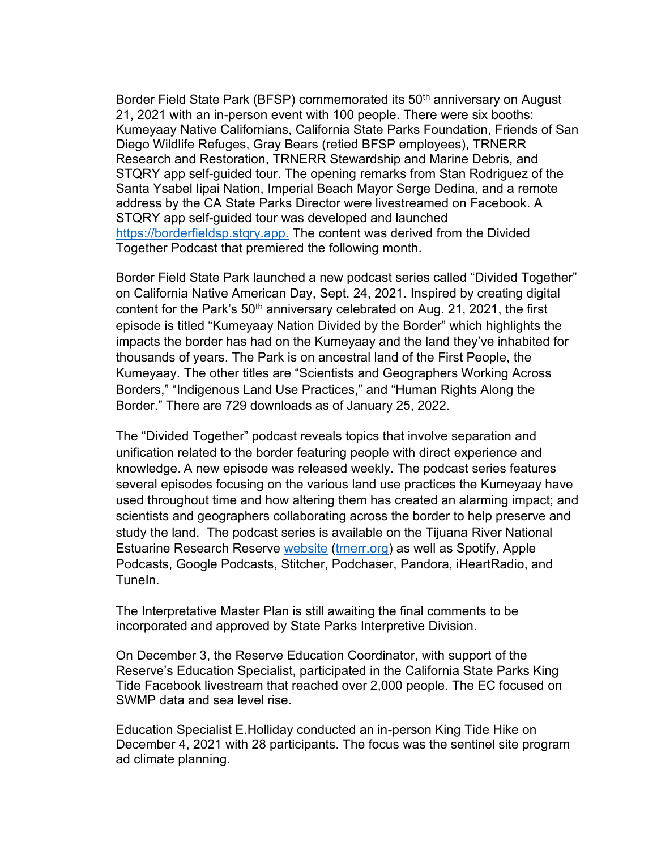Border Field State Park (BFSP) commemorated its 50<sup>th</sup> anniversary on August 21, 2021 with an in-person event with 100 people. There were six booths: Kumeyaay Native Californians, California State Parks Foundation, Friends of San Diego Wildlife Refuges, Gray Bears (retied BFSP employees), TRNERR Research and Restoration, TRNERR Stewardship and Marine Debris, and STQRY app self-guided tour. The opening remarks from Stan Rodriguez of the Santa Ysabel Iipai Nation, Imperial Beach Mayor Serge Dedina, and a remote address by the CA State Parks Director were livestreamed on Facebook. A STQRY app self-guided tour was developed and launched [https://borderfieldsp.stqry.app.](https://borderfieldsp.stqry.app/?fbclid=IwAR3cKdbWXPRL_7gG1SPIgJJxXCZkBXQPBGjoCm68Mj9JSImeOxCzhScgIqU) The content was derived from the Divided Together Podcast that premiered the following month.

Border Field State Park launched a new podcast series called "Divided Together" on California Native American Day, Sept. 24, 2021. Inspired by creating digital content for the Park's  $50<sup>th</sup>$  anniversary celebrated on Aug. 21, 2021, the first episode is titled "Kumeyaay Nation Divided by the Border" which highlights the impacts the border has had on the Kumeyaay and the land they've inhabited for thousands of years. The Park is on ancestral land of the First People, the Kumeyaay. The other titles are "Scientists and Geographers Working Across Borders," "Indigenous Land Use Practices," and "Human Rights Along the Border." There are 729 downloads as of January 25, 2022.

The "Divided Together" podcast reveals topics that involve separation and unification related to the border featuring people with direct experience and knowledge. A new episode was released weekly. The podcast series features several episodes focusing on the various land use practices the Kumeyaay have used throughout time and how altering them has created an alarming impact; and scientists and geographers collaborating across the border to help preserve and study the land. The podcast series is available on the Tijuana River National Estuarine Research Reserve [website](https://trnerr.org/) [\(trnerr.org\)](https://trnerr.org/) as well as Spotify, Apple Podcasts, Google Podcasts, Stitcher, Podchaser, Pandora, iHeartRadio, and TuneIn.

The Interpretative Master Plan is still awaiting the final comments to be incorporated and approved by State Parks Interpretive Division.

On December 3, the Reserve Education Coordinator, with support of the Reserve's Education Specialist, participated in the California State Parks King Tide Facebook livestream that reached over 2,000 people. The EC focused on SWMP data and sea level rise.

Education Specialist E.Holliday conducted an in-person King Tide Hike on December 4, 2021 with 28 participants. The focus was the sentinel site program ad climate planning.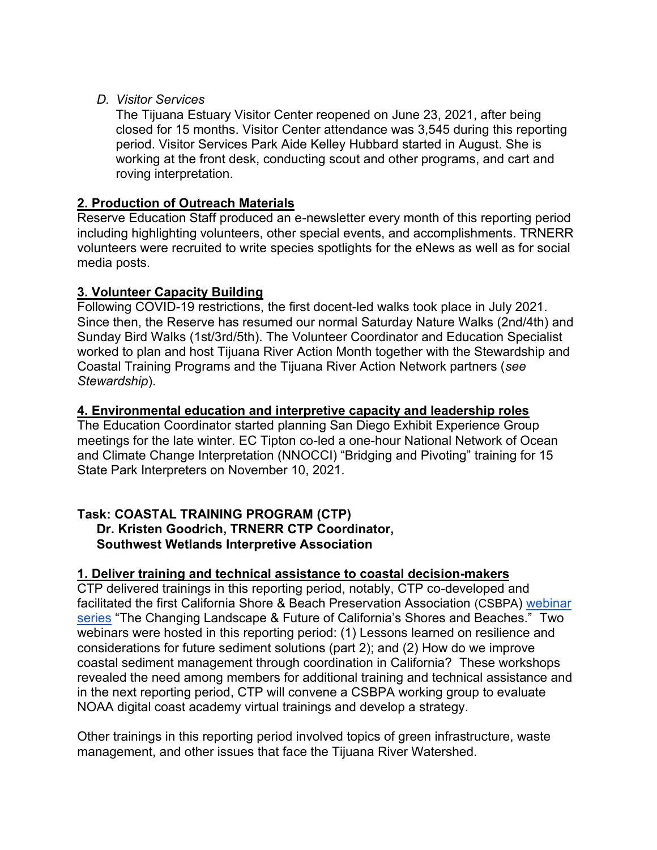## *D. Visitor Services*

The Tijuana Estuary Visitor Center reopened on June 23, 2021, after being closed for 15 months. Visitor Center attendance was 3,545 during this reporting period. Visitor Services Park Aide Kelley Hubbard started in August. She is working at the front desk, conducting scout and other programs, and cart and roving interpretation.

# **2. Production of Outreach Materials**

Reserve Education Staff produced an e-newsletter every month of this reporting period including highlighting volunteers, other special events, and accomplishments. TRNERR volunteers were recruited to write species spotlights for the eNews as well as for social media posts.

# **3. Volunteer Capacity Building**

Following COVID-19 restrictions, the first docent-led walks took place in July 2021. Since then, the Reserve has resumed our normal Saturday Nature Walks (2nd/4th) and Sunday Bird Walks (1st/3rd/5th). The Volunteer Coordinator and Education Specialist worked to plan and host Tijuana River Action Month together with the Stewardship and Coastal Training Programs and the Tijuana River Action Network partners (*see Stewardship*).

# **4. Environmental education and interpretive capacity and leadership roles**

The Education Coordinator started planning San Diego Exhibit Experience Group meetings for the late winter. EC Tipton co-led a one-hour National Network of Ocean and Climate Change Interpretation (NNOCCI) "Bridging and Pivoting" training for 15 State Park Interpreters on November 10, 2021.

# **Task: COASTAL TRAINING PROGRAM (CTP) Dr. Kristen Goodrich, TRNERR CTP Coordinator, Southwest Wetlands Interpretive Association**

# **1. Deliver training and technical assistance to coastal decision-makers**

CTP delivered trainings in this reporting period, notably, CTP co-developed and facilitated the first California Shore & Beach Preservation Association (CSBPA) [webinar](https://asbpa.org/2021/04/20/csbpa-2021-webinar-series/)  [series](https://asbpa.org/2021/04/20/csbpa-2021-webinar-series/) "The Changing Landscape & Future of California's Shores and Beaches." Two webinars were hosted in this reporting period: (1) Lessons learned on resilience and considerations for future sediment solutions (part 2); and (2) How do we improve coastal sediment management through coordination in California? These workshops revealed the need among members for additional training and technical assistance and in the next reporting period, CTP will convene a CSBPA working group to evaluate NOAA digital coast academy virtual trainings and develop a strategy.

Other trainings in this reporting period involved topics of green infrastructure, waste management, and other issues that face the Tijuana River Watershed.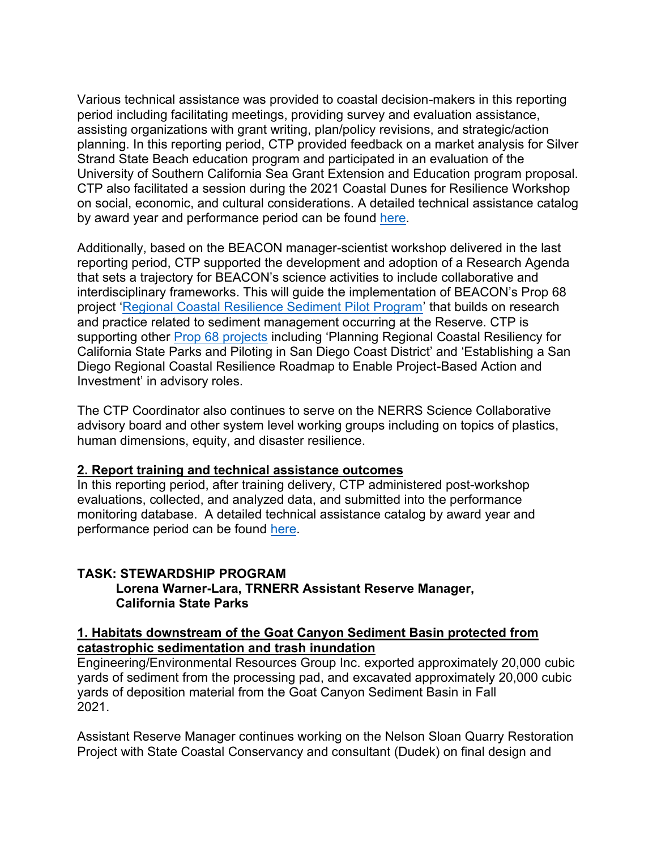Various technical assistance was provided to coastal decision-makers in this reporting period including facilitating meetings, providing survey and evaluation assistance, assisting organizations with grant writing, plan/policy revisions, and strategic/action planning. In this reporting period, CTP provided feedback on a market analysis for Silver Strand State Beach education program and participated in an evaluation of the University of Southern California Sea Grant Extension and Education program proposal. CTP also facilitated a session during the 2021 Coastal Dunes for Resilience Workshop on social, economic, and cultural considerations. A detailed technical assistance catalog by award year and performance period can be found [here.](https://docs.google.com/document/d/1qTkB3PvBvR9YFrOXG0hzzc-5dmqNTTnFSfpZ3nK_8lY/edit?usp=sharing)

Additionally, based on the BEACON manager-scientist workshop delivered in the last reporting period, CTP supported the development and adoption of a Research Agenda that sets a trajectory for BEACON's science activities to include collaborative and interdisciplinary frameworks. This will guide the implementation of BEACON's Prop 68 project '[Regional Coastal Resilience Sediment Pilot Program](https://www.opc.ca.gov/2021/09/prop-68-climate-resilience-miniseries-episode-8-beacon-sediment-management-pilot-program/)' that builds on research and practice related to sediment management occurring at the Reserve. CTP is supporting other [Prop 68 projects](https://www.opc.ca.gov/webmaster/ftp/pdf/agenda_items/20210216/Item_5_Prop_68_Coastal_Resilience_Projects_StaffRec_FINAL.pdf) including 'Planning Regional Coastal Resiliency for California State Parks and Piloting in San Diego Coast District' and 'Establishing a San Diego Regional Coastal Resilience Roadmap to Enable Project-Based Action and Investment' in advisory roles.

The CTP Coordinator also continues to serve on the NERRS Science Collaborative advisory board and other system level working groups including on topics of plastics, human dimensions, equity, and disaster resilience.

## **2. Report training and technical assistance outcomes**

In this reporting period, after training delivery, CTP administered post-workshop evaluations, collected, and analyzed data, and submitted into the performance monitoring database. A detailed technical assistance catalog by award year and performance period can be found [here.](https://docs.google.com/document/d/1qTkB3PvBvR9YFrOXG0hzzc-5dmqNTTnFSfpZ3nK_8lY/edit?usp=sharing)

## **TASK: STEWARDSHIP PROGRAM**

## **Lorena Warner-Lara, TRNERR Assistant Reserve Manager, California State Parks**

## **1. Habitats downstream of the Goat Canyon Sediment Basin protected from catastrophic sedimentation and trash inundation**

Engineering/Environmental Resources Group Inc. exported approximately 20,000 cubic yards of sediment from the processing pad, and excavated approximately 20,000 cubic yards of deposition material from the Goat Canyon Sediment Basin in Fall 2021.

Assistant Reserve Manager continues working on the Nelson Sloan Quarry Restoration Project with State Coastal Conservancy and consultant (Dudek) on final design and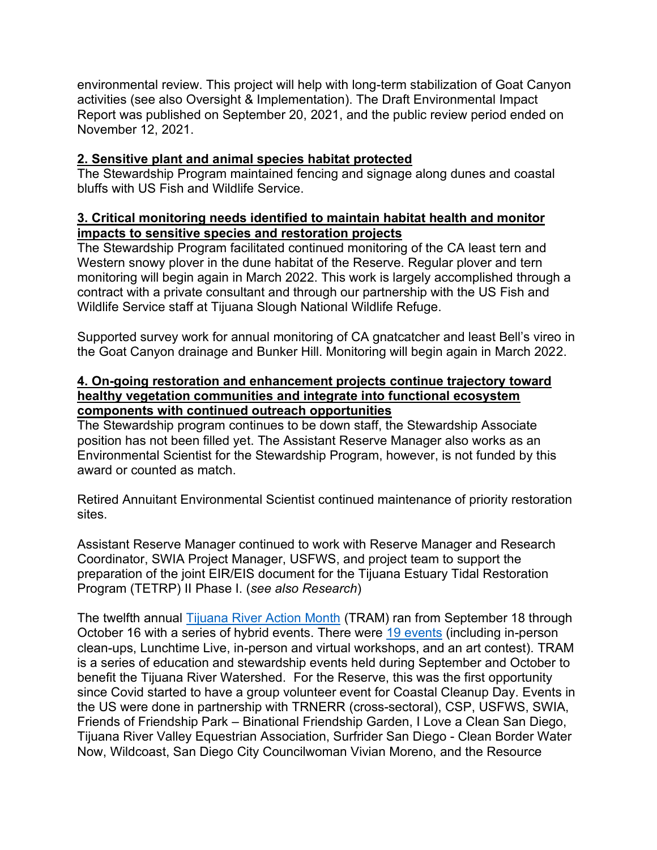environmental review. This project will help with long-term stabilization of Goat Canyon activities (see also Oversight & Implementation). The Draft Environmental Impact Report was published on September 20, 2021, and the public review period ended on November 12, 2021.

# **2. Sensitive plant and animal species habitat protected**

The Stewardship Program maintained fencing and signage along dunes and coastal bluffs with US Fish and Wildlife Service.

## **3. Critical monitoring needs identified to maintain habitat health and monitor impacts to sensitive species and restoration projects**

The Stewardship Program facilitated continued monitoring of the CA least tern and Western snowy plover in the dune habitat of the Reserve. Regular plover and tern monitoring will begin again in March 2022. This work is largely accomplished through a contract with a private consultant and through our partnership with the US Fish and Wildlife Service staff at Tijuana Slough National Wildlife Refuge.

Supported survey work for annual monitoring of CA gnatcatcher and least Bell's vireo in the Goat Canyon drainage and Bunker Hill. Monitoring will begin again in March 2022.

### **4. On-going restoration and enhancement projects continue trajectory toward healthy vegetation communities and integrate into functional ecosystem components with continued outreach opportunities**

The Stewardship program continues to be down staff, the Stewardship Associate position has not been filled yet. The Assistant Reserve Manager also works as an Environmental Scientist for the Stewardship Program, however, is not funded by this award or counted as match.

Retired Annuitant Environmental Scientist continued maintenance of priority restoration sites.

Assistant Reserve Manager continued to work with Reserve Manager and Research Coordinator, SWIA Project Manager, USFWS, and project team to support the preparation of the joint EIR/EIS document for the Tijuana Estuary Tidal Restoration Program (TETRP) II Phase I. (*see also Research*)

The twelfth annual **Tijuana River Action Month** (TRAM) ran from September 18 through October 16 with a series of hybrid events. There were [19 events](https://www.facebook.com/TijuanaRiverActionNetwork/events) (including in-person clean-ups, Lunchtime Live, in-person and virtual workshops, and an art contest). TRAM is a series of education and stewardship events held during September and October to benefit the Tijuana River Watershed. For the Reserve, this was the first opportunity since Covid started to have a group volunteer event for Coastal Cleanup Day. Events in the US were done in partnership with TRNERR (cross-sectoral), CSP, USFWS, SWIA, Friends of Friendship Park – Binational Friendship Garden, I Love a Clean San Diego, Tijuana River Valley Equestrian Association, Surfrider San Diego - Clean Border Water Now, Wildcoast, San Diego City Councilwoman Vivian Moreno, and the Resource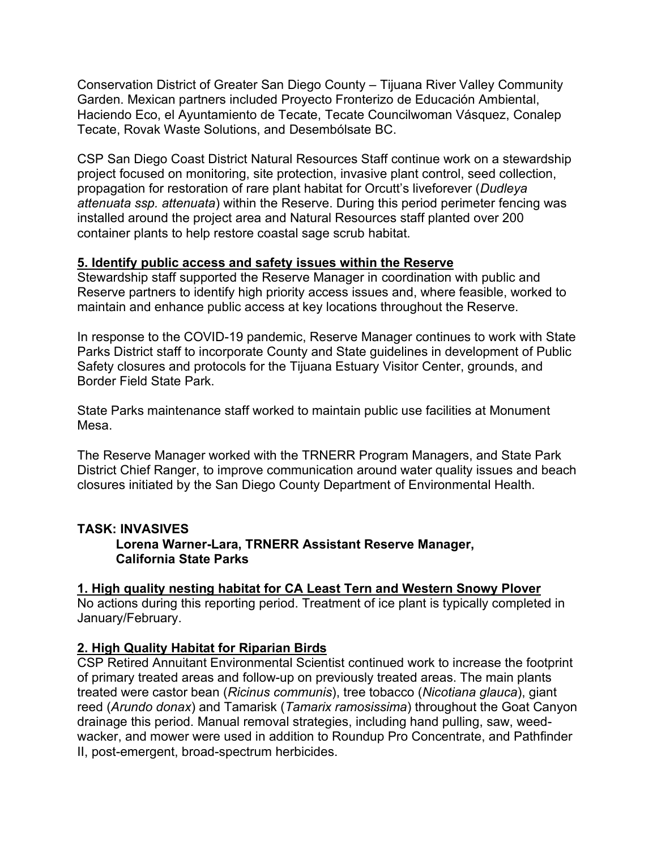Conservation District of Greater San Diego County – Tijuana River Valley Community Garden. Mexican partners included Proyecto Fronterizo de Educación Ambiental, Haciendo Eco, el Ayuntamiento de Tecate, Tecate Councilwoman Vásquez, Conalep Tecate, Rovak Waste Solutions, and Desembólsate BC.

CSP San Diego Coast District Natural Resources Staff continue work on a stewardship project focused on monitoring, site protection, invasive plant control, seed collection, propagation for restoration of rare plant habitat for Orcutt's liveforever (*Dudleya attenuata ssp. attenuata*) within the Reserve. During this period perimeter fencing was installed around the project area and Natural Resources staff planted over 200 container plants to help restore coastal sage scrub habitat.

# **5. Identify public access and safety issues within the Reserve**

Stewardship staff supported the Reserve Manager in coordination with public and Reserve partners to identify high priority access issues and, where feasible, worked to maintain and enhance public access at key locations throughout the Reserve.

In response to the COVID-19 pandemic, Reserve Manager continues to work with State Parks District staff to incorporate County and State guidelines in development of Public Safety closures and protocols for the Tijuana Estuary Visitor Center, grounds, and Border Field State Park.

State Parks maintenance staff worked to maintain public use facilities at Monument Mesa.

The Reserve Manager worked with the TRNERR Program Managers, and State Park District Chief Ranger, to improve communication around water quality issues and beach closures initiated by the San Diego County Department of Environmental Health.

# **TASK: INVASIVES**

**Lorena Warner-Lara, TRNERR Assistant Reserve Manager, California State Parks**

# **1. High quality nesting habitat for CA Least Tern and Western Snowy Plover**

No actions during this reporting period. Treatment of ice plant is typically completed in January/February.

# **2. High Quality Habitat for Riparian Birds**

CSP Retired Annuitant Environmental Scientist continued work to increase the footprint of primary treated areas and follow-up on previously treated areas. The main plants treated were castor bean (*Ricinus communis*), tree tobacco (*Nicotiana glauca*), giant reed (*Arundo donax*) and Tamarisk (*Tamarix ramosissima*) throughout the Goat Canyon drainage this period. Manual removal strategies, including hand pulling, saw, weedwacker, and mower were used in addition to Roundup Pro Concentrate, and Pathfinder II, post-emergent, broad-spectrum herbicides.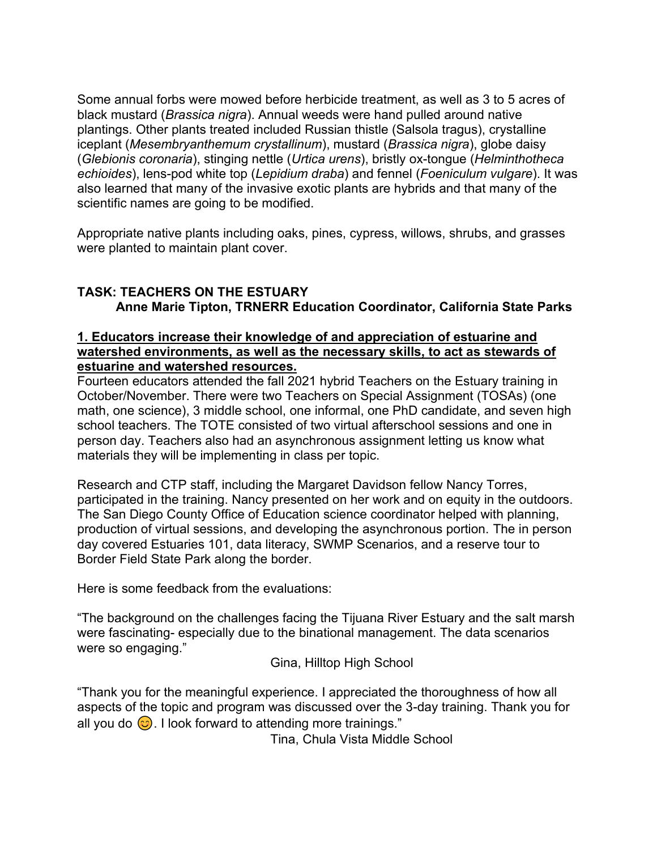Some annual forbs were mowed before herbicide treatment, as well as 3 to 5 acres of black mustard (*Brassica nigra*). Annual weeds were hand pulled around native plantings. Other plants treated included Russian thistle (Salsola tragus), crystalline iceplant (*Mesembryanthemum crystallinum*), mustard (*Brassica nigra*), globe daisy (*Glebionis coronaria*), stinging nettle (*Urtica urens*), bristly ox-tongue (*Helminthotheca echioides*), lens-pod white top (*Lepidium draba*) and fennel (*Foeniculum vulgare*). It was also learned that many of the invasive exotic plants are hybrids and that many of the scientific names are going to be modified.

Appropriate native plants including oaks, pines, cypress, willows, shrubs, and grasses were planted to maintain plant cover.

# **TASK: TEACHERS ON THE ESTUARY Anne Marie Tipton, TRNERR Education Coordinator, California State Parks**

## **1. Educators increase their knowledge of and appreciation of estuarine and watershed environments, as well as the necessary skills, to act as stewards of estuarine and watershed resources.**

Fourteen educators attended the fall 2021 hybrid Teachers on the Estuary training in October/November. There were two Teachers on Special Assignment (TOSAs) (one math, one science), 3 middle school, one informal, one PhD candidate, and seven high school teachers. The TOTE consisted of two virtual afterschool sessions and one in person day. Teachers also had an asynchronous assignment letting us know what materials they will be implementing in class per topic.

Research and CTP staff, including the Margaret Davidson fellow Nancy Torres, participated in the training. Nancy presented on her work and on equity in the outdoors. The San Diego County Office of Education science coordinator helped with planning, production of virtual sessions, and developing the asynchronous portion. The in person day covered Estuaries 101, data literacy, SWMP Scenarios, and a reserve tour to Border Field State Park along the border.

Here is some feedback from the evaluations:

"The background on the challenges facing the Tijuana River Estuary and the salt marsh were fascinating- especially due to the binational management. The data scenarios were so engaging."

Gina, Hilltop High School

"Thank you for the meaningful experience. I appreciated the thoroughness of how all aspects of the topic and program was discussed over the 3-day training. Thank you for all you do  $\odot$ . I look forward to attending more trainings."

Tina, Chula Vista Middle School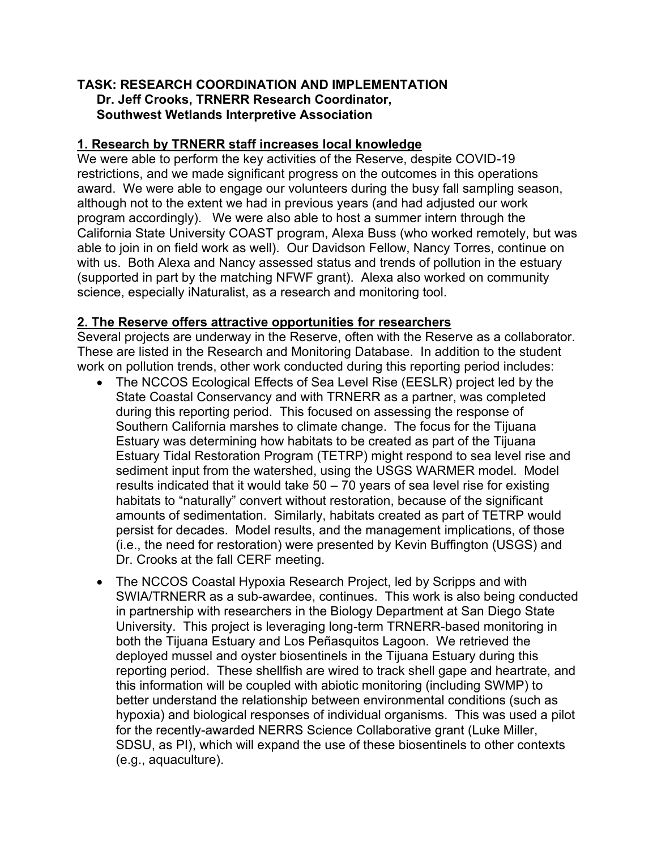## **TASK: RESEARCH COORDINATION AND IMPLEMENTATION Dr. Jeff Crooks, TRNERR Research Coordinator, Southwest Wetlands Interpretive Association**

# **1. Research by TRNERR staff increases local knowledge**

We were able to perform the key activities of the Reserve, despite COVID-19 restrictions, and we made significant progress on the outcomes in this operations award. We were able to engage our volunteers during the busy fall sampling season, although not to the extent we had in previous years (and had adjusted our work program accordingly). We were also able to host a summer intern through the California State University COAST program, Alexa Buss (who worked remotely, but was able to join in on field work as well). Our Davidson Fellow, Nancy Torres, continue on with us. Both Alexa and Nancy assessed status and trends of pollution in the estuary (supported in part by the matching NFWF grant). Alexa also worked on community science, especially iNaturalist, as a research and monitoring tool.

## **2. The Reserve offers attractive opportunities for researchers**

Several projects are underway in the Reserve, often with the Reserve as a collaborator. These are listed in the Research and Monitoring Database. In addition to the student work on pollution trends, other work conducted during this reporting period includes:

- The NCCOS Ecological Effects of Sea Level Rise (EESLR) project led by the State Coastal Conservancy and with TRNERR as a partner, was completed during this reporting period. This focused on assessing the response of Southern California marshes to climate change. The focus for the Tijuana Estuary was determining how habitats to be created as part of the Tijuana Estuary Tidal Restoration Program (TETRP) might respond to sea level rise and sediment input from the watershed, using the USGS WARMER model. Model results indicated that it would take  $50 - 70$  years of sea level rise for existing habitats to "naturally" convert without restoration, because of the significant amounts of sedimentation. Similarly, habitats created as part of TETRP would persist for decades. Model results, and the management implications, of those (i.e., the need for restoration) were presented by Kevin Buffington (USGS) and Dr. Crooks at the fall CERF meeting.
- The NCCOS Coastal Hypoxia Research Project, led by Scripps and with SWIA/TRNERR as a sub-awardee, continues. This work is also being conducted in partnership with researchers in the Biology Department at San Diego State University. This project is leveraging long-term TRNERR-based monitoring in both the Tijuana Estuary and Los Peñasquitos Lagoon. We retrieved the deployed mussel and oyster biosentinels in the Tijuana Estuary during this reporting period. These shellfish are wired to track shell gape and heartrate, and this information will be coupled with abiotic monitoring (including SWMP) to better understand the relationship between environmental conditions (such as hypoxia) and biological responses of individual organisms. This was used a pilot for the recently-awarded NERRS Science Collaborative grant (Luke Miller, SDSU, as PI), which will expand the use of these biosentinels to other contexts (e.g., aquaculture).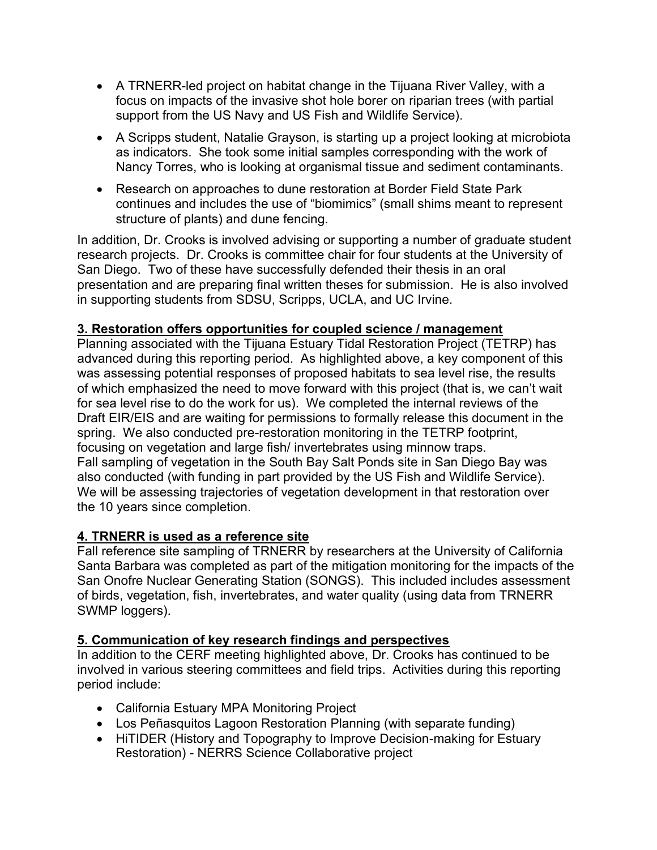- A TRNERR-led project on habitat change in the Tijuana River Valley, with a focus on impacts of the invasive shot hole borer on riparian trees (with partial support from the US Navy and US Fish and Wildlife Service).
- A Scripps student, Natalie Grayson, is starting up a project looking at microbiota as indicators. She took some initial samples corresponding with the work of Nancy Torres, who is looking at organismal tissue and sediment contaminants.
- Research on approaches to dune restoration at Border Field State Park continues and includes the use of "biomimics" (small shims meant to represent structure of plants) and dune fencing.

In addition, Dr. Crooks is involved advising or supporting a number of graduate student research projects. Dr. Crooks is committee chair for four students at the University of San Diego. Two of these have successfully defended their thesis in an oral presentation and are preparing final written theses for submission. He is also involved in supporting students from SDSU, Scripps, UCLA, and UC Irvine.

# **3. Restoration offers opportunities for coupled science / management**

Planning associated with the Tijuana Estuary Tidal Restoration Project (TETRP) has advanced during this reporting period. As highlighted above, a key component of this was assessing potential responses of proposed habitats to sea level rise, the results of which emphasized the need to move forward with this project (that is, we can't wait for sea level rise to do the work for us). We completed the internal reviews of the Draft EIR/EIS and are waiting for permissions to formally release this document in the spring. We also conducted pre-restoration monitoring in the TETRP footprint, focusing on vegetation and large fish/ invertebrates using minnow traps. Fall sampling of vegetation in the South Bay Salt Ponds site in San Diego Bay was also conducted (with funding in part provided by the US Fish and Wildlife Service). We will be assessing trajectories of vegetation development in that restoration over the 10 years since completion.

# **4. TRNERR is used as a reference site**

Fall reference site sampling of TRNERR by researchers at the University of California Santa Barbara was completed as part of the mitigation monitoring for the impacts of the San Onofre Nuclear Generating Station (SONGS). This included includes assessment of birds, vegetation, fish, invertebrates, and water quality (using data from TRNERR SWMP loggers).

# **5. Communication of key research findings and perspectives**

In addition to the CERF meeting highlighted above, Dr. Crooks has continued to be involved in various steering committees and field trips. Activities during this reporting period include:

- California Estuary MPA Monitoring Project
- Los Peñasquitos Lagoon Restoration Planning (with separate funding)
- HiTIDER (History and Topography to Improve Decision-making for Estuary Restoration) - NERRS Science Collaborative project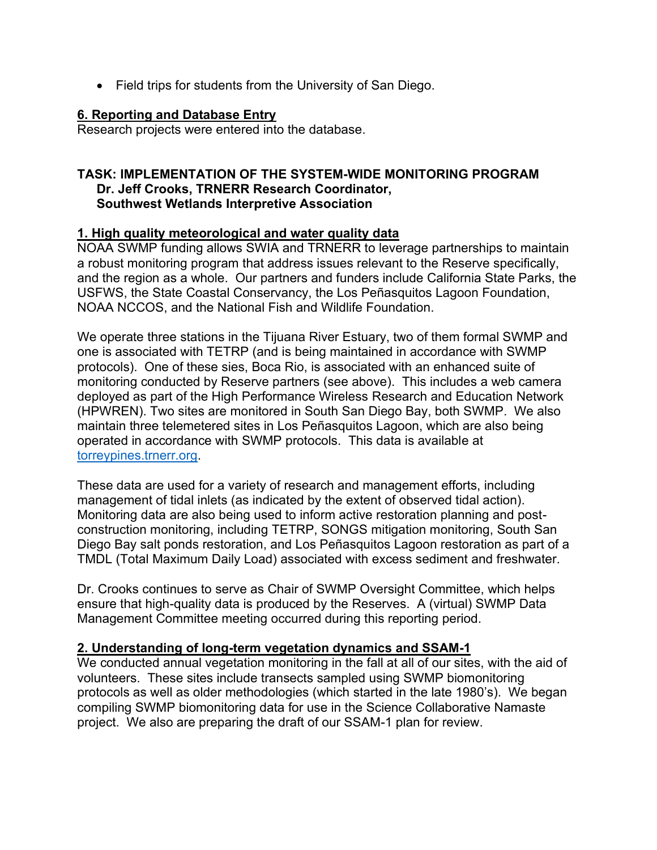• Field trips for students from the University of San Diego.

## **6. Reporting and Database Entry**

Research projects were entered into the database.

## **TASK: IMPLEMENTATION OF THE SYSTEM-WIDE MONITORING PROGRAM Dr. Jeff Crooks, TRNERR Research Coordinator, Southwest Wetlands Interpretive Association**

## **1. High quality meteorological and water quality data**

NOAA SWMP funding allows SWIA and TRNERR to leverage partnerships to maintain a robust monitoring program that address issues relevant to the Reserve specifically, and the region as a whole. Our partners and funders include California State Parks, the USFWS, the State Coastal Conservancy, the Los Peñasquitos Lagoon Foundation, NOAA NCCOS, and the National Fish and Wildlife Foundation.

We operate three stations in the Tijuana River Estuary, two of them formal SWMP and one is associated with TETRP (and is being maintained in accordance with SWMP protocols). One of these sies, Boca Rio, is associated with an enhanced suite of monitoring conducted by Reserve partners (see above). This includes a web camera deployed as part of the High Performance Wireless Research and Education Network (HPWREN). Two sites are monitored in South San Diego Bay, both SWMP. We also maintain three telemetered sites in Los Peñasquitos Lagoon, which are also being operated in accordance with SWMP protocols. This data is available at [torreypines.trnerr.org.](http://torreypines.trnerr.org/)

These data are used for a variety of research and management efforts, including management of tidal inlets (as indicated by the extent of observed tidal action). Monitoring data are also being used to inform active restoration planning and postconstruction monitoring, including TETRP, SONGS mitigation monitoring, South San Diego Bay salt ponds restoration, and Los Peñasquitos Lagoon restoration as part of a TMDL (Total Maximum Daily Load) associated with excess sediment and freshwater.

Dr. Crooks continues to serve as Chair of SWMP Oversight Committee, which helps ensure that high-quality data is produced by the Reserves. A (virtual) SWMP Data Management Committee meeting occurred during this reporting period.

## **2. Understanding of long-term vegetation dynamics and SSAM-1**

We conducted annual vegetation monitoring in the fall at all of our sites, with the aid of volunteers. These sites include transects sampled using SWMP biomonitoring protocols as well as older methodologies (which started in the late 1980's). We began compiling SWMP biomonitoring data for use in the Science Collaborative Namaste project. We also are preparing the draft of our SSAM-1 plan for review.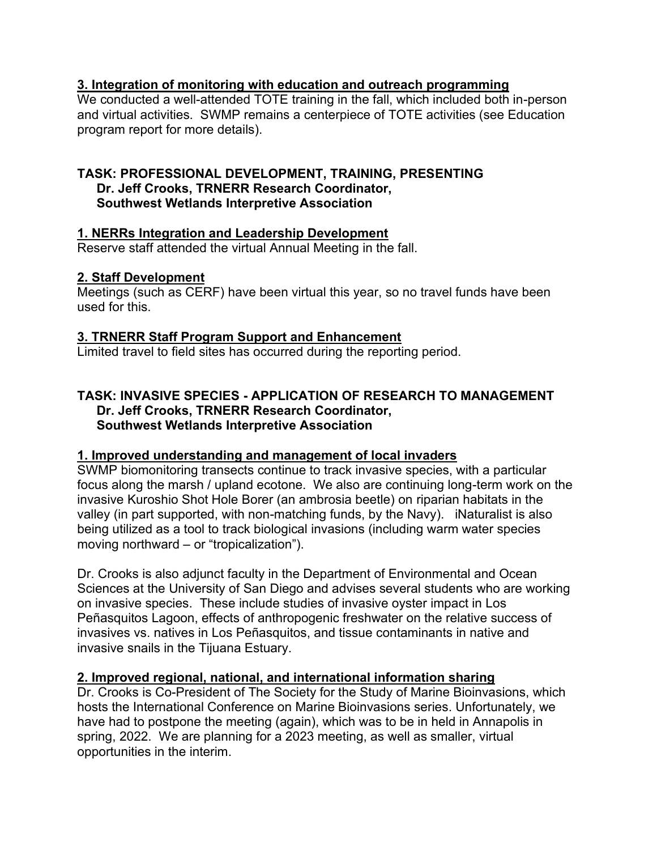# **3. Integration of monitoring with education and outreach programming**

We conducted a well-attended TOTE training in the fall, which included both in-person and virtual activities. SWMP remains a centerpiece of TOTE activities (see Education program report for more details).

#### **TASK: PROFESSIONAL DEVELOPMENT, TRAINING, PRESENTING Dr. Jeff Crooks, TRNERR Research Coordinator, Southwest Wetlands Interpretive Association**

# **1. NERRs Integration and Leadership Development**

Reserve staff attended the virtual Annual Meeting in the fall.

# **2. Staff Development**

Meetings (such as CERF) have been virtual this year, so no travel funds have been used for this.

## **3. TRNERR Staff Program Support and Enhancement**

Limited travel to field sites has occurred during the reporting period.

## **TASK: INVASIVE SPECIES - APPLICATION OF RESEARCH TO MANAGEMENT Dr. Jeff Crooks, TRNERR Research Coordinator, Southwest Wetlands Interpretive Association**

## **1. Improved understanding and management of local invaders**

SWMP biomonitoring transects continue to track invasive species, with a particular focus along the marsh / upland ecotone. We also are continuing long-term work on the invasive Kuroshio Shot Hole Borer (an ambrosia beetle) on riparian habitats in the valley (in part supported, with non-matching funds, by the Navy). iNaturalist is also being utilized as a tool to track biological invasions (including warm water species moving northward – or "tropicalization").

Dr. Crooks is also adjunct faculty in the Department of Environmental and Ocean Sciences at the University of San Diego and advises several students who are working on invasive species. These include studies of invasive oyster impact in Los Peñasquitos Lagoon, effects of anthropogenic freshwater on the relative success of invasives vs. natives in Los Peñasquitos, and tissue contaminants in native and invasive snails in the Tijuana Estuary.

## **2. Improved regional, national, and international information sharing**

Dr. Crooks is Co-President of The Society for the Study of Marine Bioinvasions, which hosts the International Conference on Marine Bioinvasions series. Unfortunately, we have had to postpone the meeting (again), which was to be in held in Annapolis in spring, 2022. We are planning for a 2023 meeting, as well as smaller, virtual opportunities in the interim.